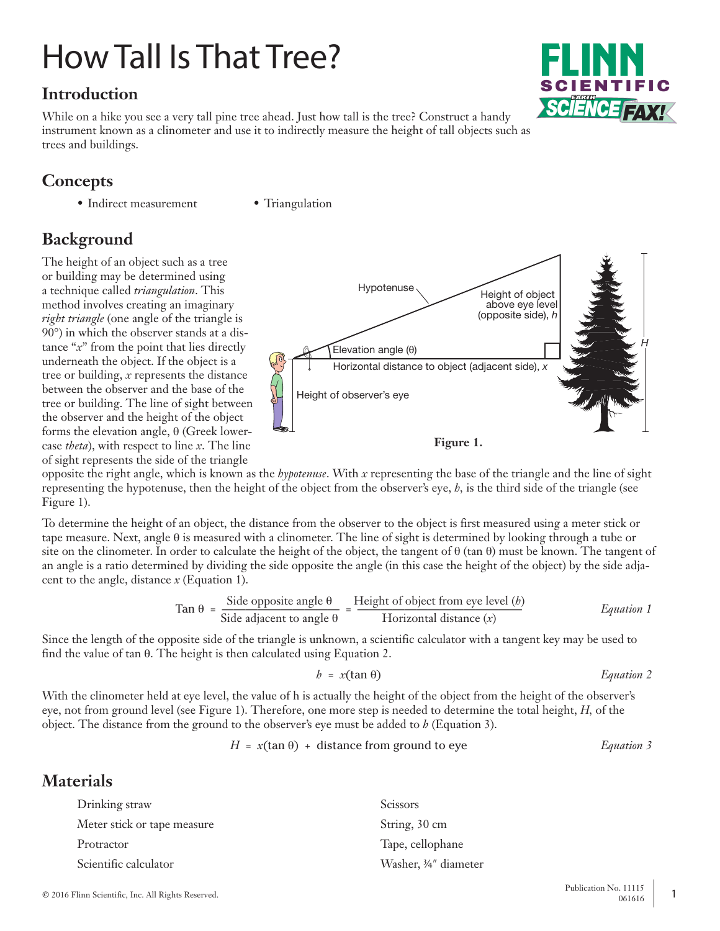# How Tall Is That Tree?

# **Introduction**

While on a hike you see a very tall pine tree ahead. Just how tall is the tree? Construct a handy instrument known as a clinometer and use it to indirectly measure the height of tall objects such as trees and buildings.

## **Concepts**

- Indirect measurement Triangulation
- 

# **Background**

The height of an object such as a tree or building may be determined using a technique called *triangulation*. This method involves creating an imaginary *right triangle* (one angle of the triangle is 90°) in which the observer stands at a distance "*x*" from the point that lies directly underneath the object. If the object is a tree or building, *x* represents the distance between the observer and the base of the tree or building. The line of sight between the observer and the height of the object forms the elevation angle, θ (Greek lowercase *theta*), with respect to line *x*. The line of sight represents the side of the triangle



opposite the right angle, which is known as the *hypotenuse*. With *x* representing the base of the triangle and the line of sight representing the hypotenuse, then the height of the object from the observer's eye, *h,* is the third side of the triangle (see Figure 1).

To determine the height of an object, the distance from the observer to the object is first measured using a meter stick or tape measure. Next, angle θ is measured with a clinometer. The line of sight is determined by looking through a tube or site on the clinometer. In order to calculate the height of the object, the tangent of  $\theta$  (tan  $\theta$ ) must be known. The tangent of an angle is a ratio determined by dividing the side opposite the angle (in this case the height of the object) by the side adjacent to the angle, distance *x* (Equation 1).

$$
\text{Tan } \theta = \frac{\text{Side opposite angle } \theta}{\text{Side adjacent to angle } \theta} = \frac{\text{Height of object from eye level } (b)}{\text{Horizontal distance } (x)} \qquad \text{Equation 1}
$$

Since the length of the opposite side of the triangle is unknown, a scientific calculator with a tangent key may be used to find the value of tan θ. The height is then calculated using Equation 2.

$$
b = x(\tan \theta) \qquad \qquad \text{Equation 2}
$$

With the clinometer held at eye level, the value of h is actually the height of the object from the height of the observer's eye, not from ground level (see Figure 1). Therefore, one more step is needed to determine the total height, *H,* of the object. The distance from the ground to the observer's eye must be added to *h* (Equation 3).

$$
H = x(\tan \theta) + \text{distance from ground to eye}
$$
 *Equation 3*

### **Materials**

| Drinking straw              | <b>Scissors</b>       |
|-----------------------------|-----------------------|
| Meter stick or tape measure | String, 30 cm         |
| Protractor                  | Tape, cellophane      |
| Scientific calculator       | Washer, 3/4" diameter |

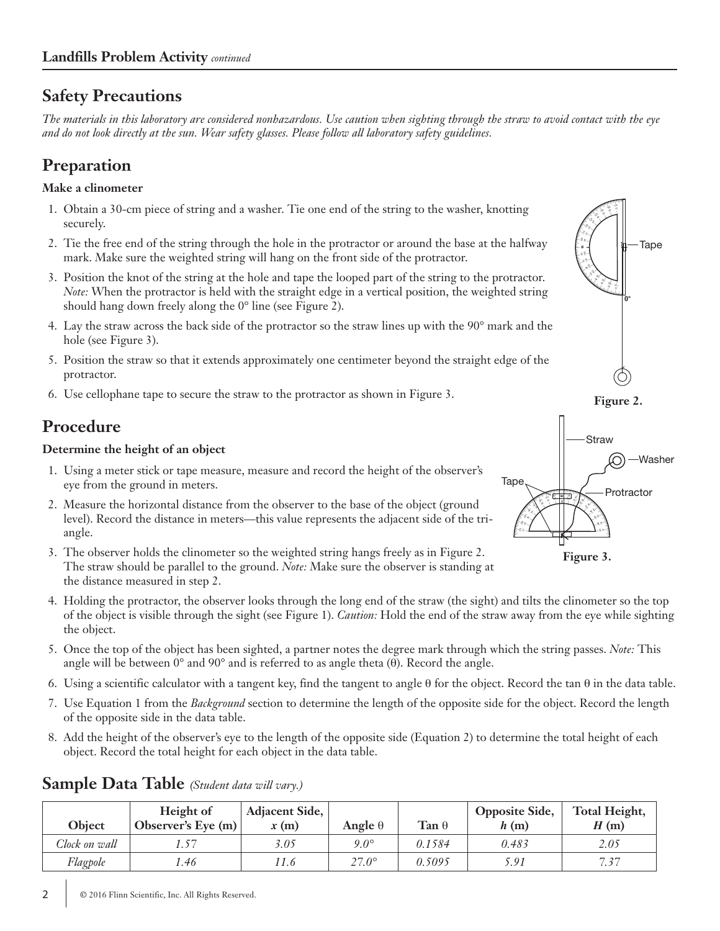## **Safety Precautions**

*The materials in this laboratory are considered nonhazardous. Use caution when sighting through the straw to avoid contact with the eye and do not look directly at the sun. Wear safety glasses. Please follow all laboratory safety guidelines.*

# **Preparation**

#### **Make a clinometer**

- 1. Obtain a 30-cm piece of string and a washer. Tie one end of the string to the washer, knotting securely.
- 2. Tie the free end of the string through the hole in the protractor or around the base at the halfway mark. Make sure the weighted string will hang on the front side of the protractor.
- 3. Position the knot of the string at the hole and tape the looped part of the string to the protractor. *Note:* When the protractor is held with the straight edge in a vertical position, the weighted string should hang down freely along the 0° line (see Figure 2).
- 4. Lay the straw across the back side of the protractor so the straw lines up with the 90° mark and the hole (see Figure 3).
- 5. Position the straw so that it extends approximately one centimeter beyond the straight edge of the protractor.
- 6. Use cellophane tape to secure the straw to the protractor as shown in Figure 3.

# **Procedure**

#### **Determine the height of an object**

- 1. Using a meter stick or tape measure, measure and record the height of the observer's eye from the ground in meters.
- 2. Measure the horizontal distance from the observer to the base of the object (ground level). Record the distance in meters—this value represents the adjacent side of the triangle.
- 3. The observer holds the clinometer so the weighted string hangs freely as in Figure 2. The straw should be parallel to the ground. *Note:* Make sure the observer is standing at the distance measured in step 2.
- 4. Holding the protractor, the observer looks through the long end of the straw (the sight) and tilts the clinometer so the top of the object is visible through the sight (see Figure 1). *Caution:* Hold the end of the straw away from the eye while sighting the object.
- 5. Once the top of the object has been sighted, a partner notes the degree mark through which the string passes. *Note:* This angle will be between  $0^{\circ}$  and  $90^{\circ}$  and is referred to as angle theta (θ). Record the angle.
- 6. Using a scientific calculator with a tangent key, find the tangent to angle θ for the object. Record the tan θ in the data table.
- 7. Use Equation 1 from the *Background* section to determine the length of the opposite side for the object. Record the length of the opposite side in the data table.
- 8. Add the height of the observer's eye to the length of the opposite side (Equation 2) to determine the total height of each object. Record the total height for each object in the data table.

| Object        | Height of<br>Observer's Eye $(m)$ | Adjacent Side,<br>x(m) | Angle $\theta$ | Tan $\theta$ | <b>Opposite Side,</b><br>h(m) | Total Height,<br>H(m) |
|---------------|-----------------------------------|------------------------|----------------|--------------|-------------------------------|-----------------------|
| Clock on wall |                                   | 3.05                   | $9.0^\circ$    | 0.1584       | 0.483                         | 2.05                  |
| Flagpole      | .46                               | '1.6                   | $27.0^\circ$   | 0.5095       | 5.91                          | 7.37                  |

#### **Sample Data Table** *(Student data will vary.)*



Tape